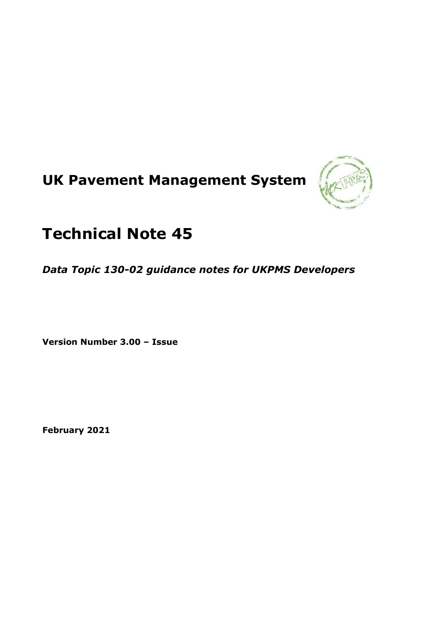# **UK Pavement Management System**



## **Technical Note 45**

*Data Topic 130-02 guidance notes for UKPMS Developers*

**Version Number 3.00 – Issue**

**February 2021**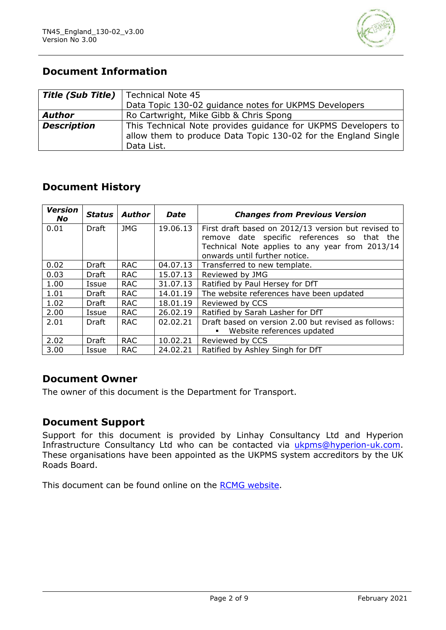

## **Document Information**

| <b>Title (Sub Title)</b>   Technical Note 45 |                                                                                                                                               |
|----------------------------------------------|-----------------------------------------------------------------------------------------------------------------------------------------------|
|                                              | Data Topic 130-02 guidance notes for UKPMS Developers                                                                                         |
| <b>Author</b>                                | Ro Cartwright, Mike Gibb & Chris Spong                                                                                                        |
| <b>Description</b>                           | This Technical Note provides guidance for UKPMS Developers to<br>allow them to produce Data Topic 130-02 for the England Single<br>Data List. |

## **Document History**

| <b>Version</b><br>No. | <b>Status</b> | <b>Author</b> | <b>Date</b> | <b>Changes from Previous Version</b>                |
|-----------------------|---------------|---------------|-------------|-----------------------------------------------------|
| 0.01                  | Draft         | <b>JMG</b>    | 19.06.13    | First draft based on 2012/13 version but revised to |
|                       |               |               |             | remove date specific references so that the         |
|                       |               |               |             | Technical Note applies to any year from 2013/14     |
|                       |               |               |             | onwards until further notice.                       |
| 0.02                  | Draft         | <b>RAC</b>    | 04.07.13    | Transferred to new template.                        |
| 0.03                  | Draft         | <b>RAC</b>    | 15.07.13    | Reviewed by JMG                                     |
| 1.00                  | Issue         | <b>RAC</b>    | 31.07.13    | Ratified by Paul Hersey for DfT                     |
| 1.01                  | Draft         | <b>RAC</b>    | 14.01.19    | The website references have been updated            |
| 1.02                  | <b>Draft</b>  | <b>RAC</b>    | 18.01.19    | Reviewed by CCS                                     |
| 2.00                  | Issue         | <b>RAC</b>    | 26.02.19    | Ratified by Sarah Lasher for DfT                    |
| 2.01                  | Draft         | <b>RAC</b>    | 02.02.21    | Draft based on version 2.00 but revised as follows: |
|                       |               |               |             | Website references updated                          |
| 2.02                  | Draft         | <b>RAC</b>    | 10.02.21    | Reviewed by CCS                                     |
| 3.00                  | Issue         | <b>RAC</b>    | 24.02.21    | Ratified by Ashley Singh for DfT                    |

### **Document Owner**

The owner of this document is the Department for Transport.

#### **Document Support**

Support for this document is provided by Linhay Consultancy Ltd and Hyperion Infrastructure Consultancy Ltd who can be contacted via [ukpms@hyperion-uk.com.](mailto:ukpms@hyperion-uk.com) These organisations have been appointed as the UKPMS system accreditors by the UK Roads Board.

This document can be found online on the [RCMG website.](https://www.ciht.org.uk/ukrlg-home/guidance/road-condition-information/data-management/uk-pavement-management-system-ukpms/)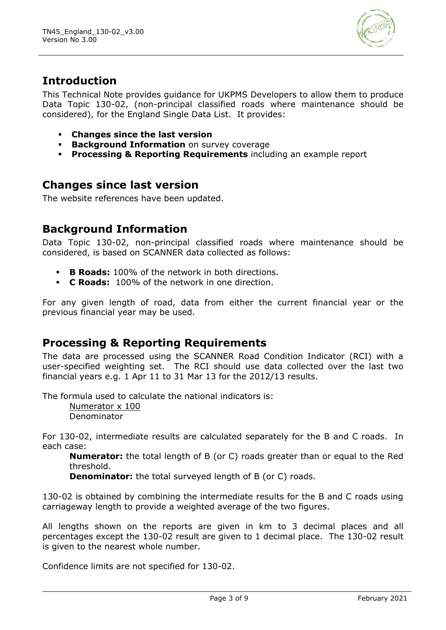

## **Introduction**

This Technical Note provides guidance for UKPMS Developers to allow them to produce Data Topic 130-02, (non-principal classified roads where maintenance should be considered), for the England Single Data List. It provides:

- **Changes since the last version**
- **Background Information** on survey coverage
- **Processing & Reporting Requirements** including an example report

## **Changes since last version**

The website references have been updated.

## **Background Information**

Data Topic 130-02, non-principal classified roads where maintenance should be considered, is based on SCANNER data collected as follows:

- **B Roads:** 100% of the network in both directions.
- **C Roads:** 100% of the network in one direction.

For any given length of road, data from either the current financial year or the previous financial year may be used.

## **Processing & Reporting Requirements**

The data are processed using the SCANNER Road Condition Indicator (RCI) with a user-specified weighting set. The RCI should use data collected over the last two financial years e.g. 1 Apr 11 to 31 Mar 13 for the 2012/13 results.

The formula used to calculate the national indicators is:

Numerator x 100 Denominator

For 130-02, intermediate results are calculated separately for the B and C roads. In each case:

**Numerator:** the total length of B (or C) roads greater than or equal to the Red threshold.

**Denominator:** the total surveyed length of B (or C) roads.

130-02 is obtained by combining the intermediate results for the B and C roads using carriageway length to provide a weighted average of the two figures.

All lengths shown on the reports are given in km to 3 decimal places and all percentages except the 130-02 result are given to 1 decimal place. The 130-02 result is given to the nearest whole number.

Confidence limits are not specified for 130-02.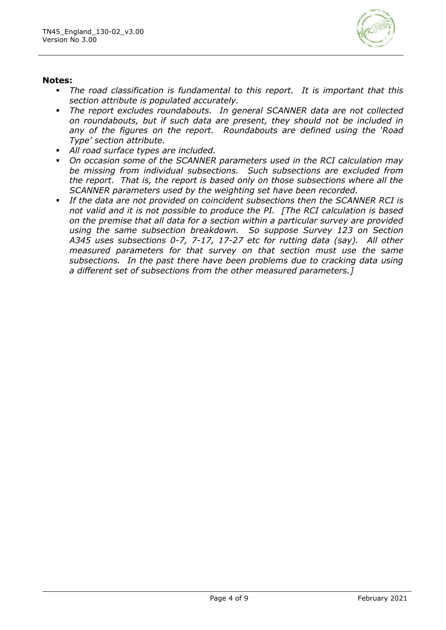

#### **Notes:**

- *The road classification is fundamental to this report. It is important that this section attribute is populated accurately.*
- The report excludes roundabouts. In general SCANNER data are not collected *on roundabouts, but if such data are present, they should not be included in any of the figures on the report. Roundabouts are defined using the 'Road Type' section attribute.*
- All road surface types are included.
- On occasion some of the SCANNER parameters used in the RCI calculation may *be missing from individual subsections. Such subsections are excluded from the report. That is, the report is based only on those subsections where all the SCANNER parameters used by the weighting set have been recorded.*
- *If the data are not provided on coincident subsections then the SCANNER RCI is not valid and it is not possible to produce the PI. [The RCI calculation is based on the premise that all data for a section within a particular survey are provided using the same subsection breakdown. So suppose Survey 123 on Section A345 uses subsections 0-7, 7-17, 17-27 etc for rutting data (say). All other measured parameters for that survey on that section must use the same subsections. In the past there have been problems due to cracking data using a different set of subsections from the other measured parameters.]*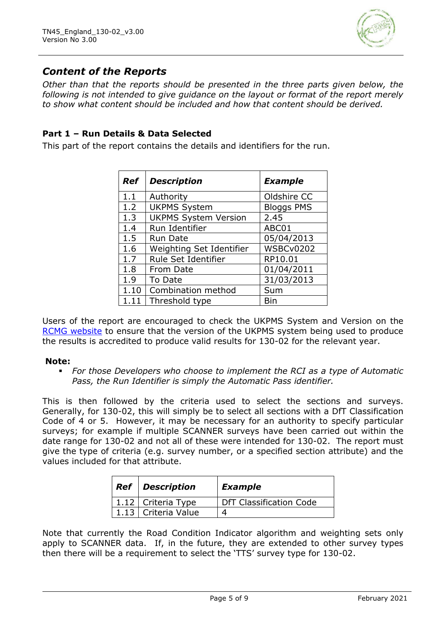

## *Content of the Reports*

*Other than that the reports should be presented in the three parts given below, the following is not intended to give guidance on the layout or format of the report merely to show what content should be included and how that content should be derived.* 

#### **Part 1 – Run Details & Data Selected**

This part of the report contains the details and identifiers for the run.

| Ref  | <b>Description</b>          | <b>Example</b>    |
|------|-----------------------------|-------------------|
| 1.1  | Authority                   | Oldshire CC       |
| 1.2  | <b>UKPMS System</b>         | <b>Bloggs PMS</b> |
| 1.3  | <b>UKPMS System Version</b> | 2.45              |
| 1.4  | Run Identifier              | ABC01             |
| 1.5  | <b>Run Date</b>             | 05/04/2013        |
| 1.6  | Weighting Set Identifier    | <b>WSBCv0202</b>  |
| 1.7  | Rule Set Identifier         | RP10.01           |
| 1.8  | From Date                   | 01/04/2011        |
| 1.9  | To Date                     | 31/03/2013        |
| 1.10 | Combination method          | Sum               |
| 1.11 | Threshold type              | Bin               |

Users of the report are encouraged to check the UKPMS System and Version on the [RCMG website](https://www.ciht.org.uk/ukrlg-home/guidance/road-condition-information/data-management/uk-pavement-management-system-ukpms/) to ensure that the version of the UKPMS system being used to produce the results is accredited to produce valid results for 130-02 for the relevant year.

#### **Note:**

▪ *For those Developers who choose to implement the RCI as a type of Automatic Pass, the Run Identifier is simply the Automatic Pass identifier.*

This is then followed by the criteria used to select the sections and surveys. Generally, for 130-02, this will simply be to select all sections with a DfT Classification Code of 4 or 5. However, it may be necessary for an authority to specify particular surveys; for example if multiple SCANNER surveys have been carried out within the date range for 130-02 and not all of these were intended for 130-02. The report must give the type of criteria (e.g. survey number, or a specified section attribute) and the values included for that attribute.

| <b>Ref</b> Description | <b>Example</b>          |
|------------------------|-------------------------|
| 1.12   Criteria Type   | DfT Classification Code |
| 1.13   Criteria Value  |                         |

Note that currently the Road Condition Indicator algorithm and weighting sets only apply to SCANNER data. If, in the future, they are extended to other survey types then there will be a requirement to select the 'TTS' survey type for 130-02.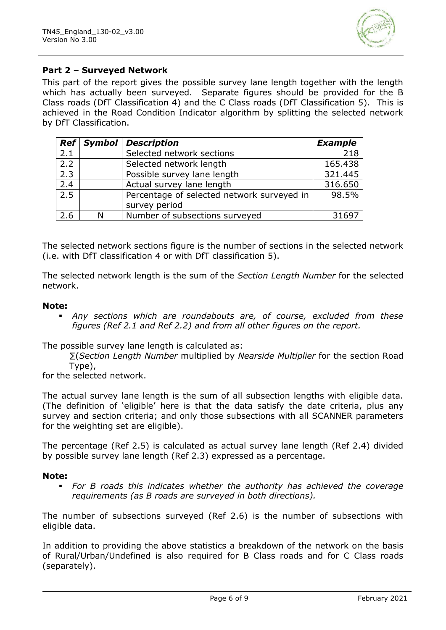

#### **Part 2 – Surveyed Network**

This part of the report gives the possible survey lane length together with the length which has actually been surveyed. Separate figures should be provided for the B Class roads (DfT Classification 4) and the C Class roads (DfT Classification 5). This is achieved in the Road Condition Indicator algorithm by splitting the selected network by DfT Classification.

|                  | Ref Symbol | <b>Description</b>                         | <b>Example</b> |
|------------------|------------|--------------------------------------------|----------------|
| 2.1              |            | Selected network sections                  | 218            |
| 2.2              |            | Selected network length                    | 165.438        |
| 2.3              |            | Possible survey lane length                | 321.445        |
| $\overline{2.4}$ |            | Actual survey lane length                  | 316.650        |
| $\overline{2.5}$ |            | Percentage of selected network surveyed in | 98.5%          |
|                  |            | survey period                              |                |
| 2.6              | N          | Number of subsections surveyed             | 31697          |

The selected network sections figure is the number of sections in the selected network (i.e. with DfT classification 4 or with DfT classification 5).

The selected network length is the sum of the *Section Length Number* for the selected network.

#### **Note:**

▪ *Any sections which are roundabouts are, of course, excluded from these figures (Ref 2.1 and Ref 2.2) and from all other figures on the report.*

The possible survey lane length is calculated as:

∑(*Section Length Number* multiplied by *Nearside Multiplier* for the section Road Type),

for the selected network.

The actual survey lane length is the sum of all subsection lengths with eligible data. (The definition of 'eligible' here is that the data satisfy the date criteria, plus any survey and section criteria; and only those subsections with all SCANNER parameters for the weighting set are eligible).

The percentage (Ref 2.5) is calculated as actual survey lane length (Ref 2.4) divided by possible survey lane length (Ref 2.3) expressed as a percentage.

#### **Note:**

For B roads this indicates whether the authority has achieved the coverage *requirements (as B roads are surveyed in both directions).*

The number of subsections surveyed (Ref 2.6) is the number of subsections with eligible data.

In addition to providing the above statistics a breakdown of the network on the basis of Rural/Urban/Undefined is also required for B Class roads and for C Class roads (separately).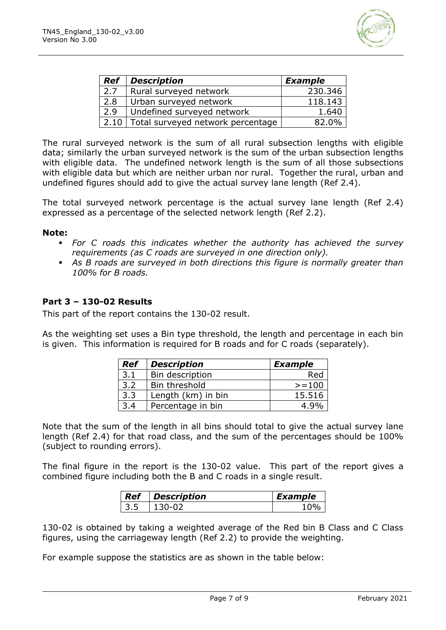

| <b>Ref</b> | <b>Description</b>                | <b>Example</b> |
|------------|-----------------------------------|----------------|
| 2.7        | Rural surveyed network            | 230.346        |
| 2.8        | Urban surveyed network            | 118.143        |
| 2.9        | Undefined surveyed network        | 1.640          |
| 2.10       | Total surveyed network percentage | 82.0%          |

The rural surveyed network is the sum of all rural subsection lengths with eligible data; similarly the urban surveyed network is the sum of the urban subsection lengths with eligible data. The undefined network length is the sum of all those subsections with eligible data but which are neither urban nor rural. Together the rural, urban and undefined figures should add to give the actual survey lane length (Ref 2.4).

The total surveyed network percentage is the actual survey lane length (Ref 2.4) expressed as a percentage of the selected network length (Ref 2.2).

#### **Note:**

- *For C roads this indicates whether the authority has achieved the survey requirements (as C roads are surveyed in one direction only).*
- *As B roads are surveyed in both directions this figure is normally greater than 100% for B roads.*

#### **Part 3 – 130-02 Results**

This part of the report contains the 130-02 result.

As the weighting set uses a Bin type threshold, the length and percentage in each bin is given. This information is required for B roads and for C roads (separately).

| <b>Ref</b> | <b>Description</b> | <b>Example</b> |
|------------|--------------------|----------------|
| 3.1        | Bin description    | Red            |
| 3.2        | Bin threshold      | $>=100$        |
| 3.3        | Length (km) in bin | 15.516         |
| 3.4        | Percentage in bin  | 4.9%           |

Note that the sum of the length in all bins should total to give the actual survey lane length (Ref 2.4) for that road class, and the sum of the percentages should be 100% (subject to rounding errors).

The final figure in the report is the 130-02 value. This part of the report gives a combined figure including both the B and C roads in a single result.

|     | <b>Ref</b> Description | Example |
|-----|------------------------|---------|
| 135 |                        |         |

130-02 is obtained by taking a weighted average of the Red bin B Class and C Class figures, using the carriageway length (Ref 2.2) to provide the weighting.

For example suppose the statistics are as shown in the table below: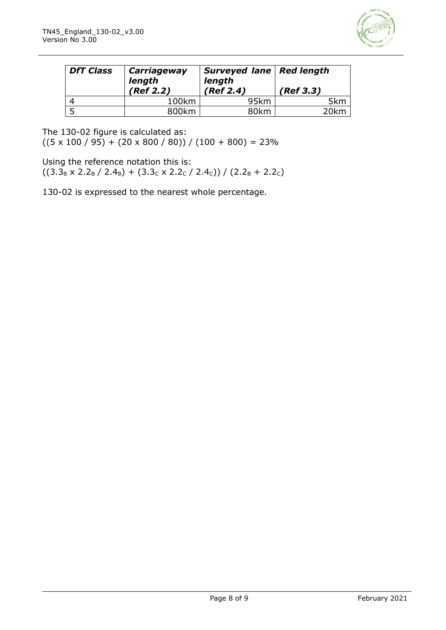

| <b>DfT Class</b> | <b>Carriageway</b><br>length<br>(Ref 2.2) | Surveyed lane   Red length<br>length<br>(Ref 2.4) | (Ref 3.3) |
|------------------|-------------------------------------------|---------------------------------------------------|-----------|
|                  | 100km                                     | 95km                                              | 5km       |
|                  | 800km                                     | 80km                                              | 20km      |

The 130-02 figure is calculated as:

 $((5 \times 100 / 95) + (20 \times 800 / 80)) / (100 + 800) = 23\%$ 

Using the reference notation this is:

 $((3.3<sub>B</sub> × 2.2<sub>B</sub> / 2.4<sub>B</sub>) + (3.3<sub>C</sub> × 2.2<sub>C</sub> / 2.4<sub>C</sub>))/ (2.2<sub>B</sub> + 2.2<sub>C</sub>)$ 

130-02 is expressed to the nearest whole percentage.